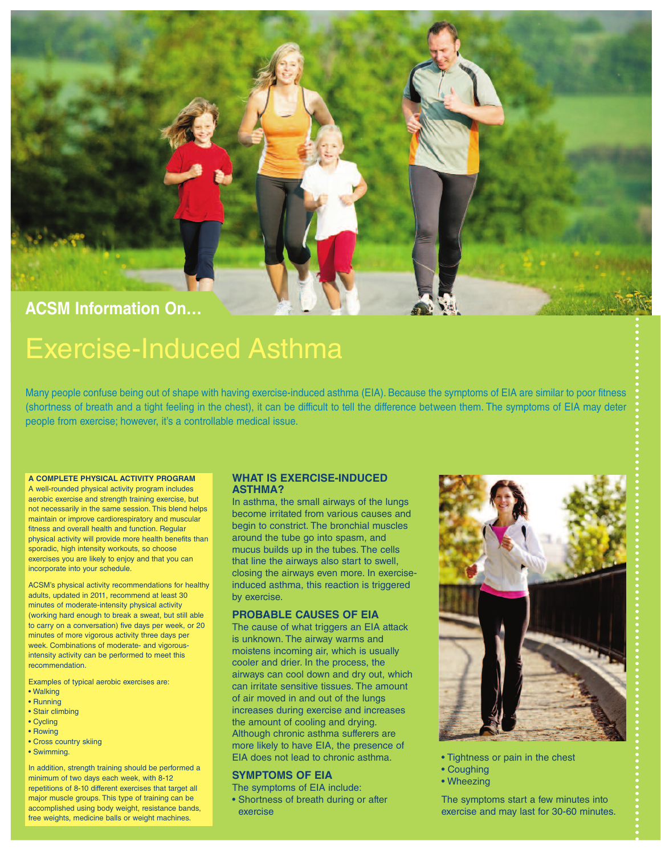

# Exercise-Induced Asthma

Many people confuse being out of shape with having exercise-induced asthma (EIA). Because the symptoms of EIA are similar to poor fitness (shortness of breath and a tight feeling in the chest), it can be difficult to tell the difference between them. The symptoms of EIA may deter people from exercise; however, it's a controllable medical issue.

# **A COMPLETE PHYSICAL ACTIVITY PROGRAM**

A well-rounded physical activity program includes aerobic exercise and strength training exercise, but not necessarily in the same session. This blend helps maintain or improve cardiorespiratory and muscular fitness and overall health and function. Regular physical activity will provide more health benefits than sporadic, high intensity workouts, so choose exercises you are likely to enjoy and that you can incorporate into your schedule.

ACSM's physical activity recommendations for healthy adults, updated in 2011, recommend at least 30 minutes of moderate-intensity physical activity (working hard enough to break a sweat, but still able to carry on a conversation) five days per week, or 20 minutes of more vigorous activity three days per week. Combinations of moderate- and vigorousintensity activity can be performed to meet this recommendation.

Examples of typical aerobic exercises are:

- Walking
- Running
- Stair climbing
- Cycling
- Rowing
- Cross country skiing
- Swimming.

In addition, strength training should be performed a minimum of two days each week, with 8-12 repetitions of 8-10 different exercises that target all major muscle groups. This type of training can be accomplished using body weight, resistance bands, free weights, medicine balls or weight machines

## **WHAT IS EXERCISE-INDUCED ASTHMA?**

In asthma, the small airways of the lungs become irritated from various causes and begin to constrict. The bronchial muscles around the tube go into spasm, and mucus builds up in the tubes. The cells that line the airways also start to swell, closing the airways even more. In exerciseinduced asthma, this reaction is triggered by exercise.

## **PROBABLE CAUSES OF EIA**

The cause of what triggers an EIA attack is unknown. The airway warms and moistens incoming air, which is usually cooler and drier. In the process, the airways can cool down and dry out, which can irritate sensitive tissues. The amount of air moved in and out of the lungs increases during exercise and increases the amount of cooling and drying. Although chronic asthma sufferers are more likely to have EIA, the presence of EIA does not lead to chronic asthma.

## **SYMPTOMS OF EIA**

- The symptoms of EIA include:
- Shortness of breath during or after exercise



- Tightness or pain in the chest
- Coughing
- Wheezing

The symptoms start a few minutes into exercise and may last for 30-60 minutes.